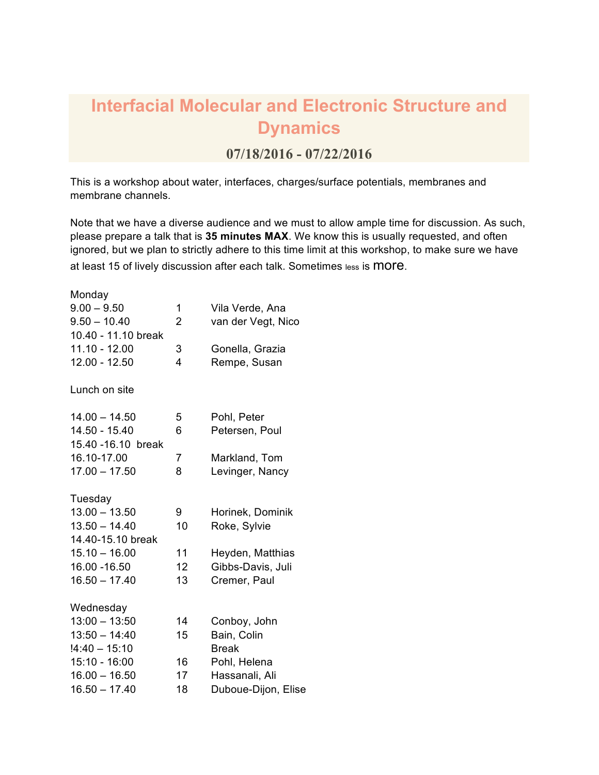## **Interfacial Molecular and Electronic Structure and Dynamics**

## **07/18/2016 - 07/22/2016**

This is a workshop about water, interfaces, charges/surface potentials, membranes and membrane channels.

Note that we have a diverse audience and we must to allow ample time for discussion. As such, please prepare a talk that is **35 minutes MAX**. We know this is usually requested, and often ignored, but we plan to strictly adhere to this time limit at this workshop, to make sure we have at least 15 of lively discussion after each talk. Sometimes less is MOFE.

| Monday              |                 |                     |
|---------------------|-----------------|---------------------|
| $9.00 - 9.50$       | 1               | Vila Verde, Ana     |
| $9.50 - 10.40$      | $\overline{2}$  | van der Vegt, Nico  |
| 10.40 - 11.10 break |                 |                     |
| 11.10 - 12.00       | 3               | Gonella, Grazia     |
| $12.00 - 12.50$     | 4               | Rempe, Susan        |
| Lunch on site       |                 |                     |
| $14.00 - 14.50$     | 5               | Pohl, Peter         |
| 14.50 - 15.40       | 6               | Petersen, Poul      |
| 15.40 - 16.10 break |                 |                     |
| 16.10-17.00         | 7               | Markland, Tom       |
| $17.00 - 17.50$     | 8               | Levinger, Nancy     |
| Tuesday             |                 |                     |
| $13.00 - 13.50$     | 9               | Horinek, Dominik    |
| $13.50 - 14.40$     | 10              | Roke, Sylvie        |
| 14.40-15.10 break   |                 |                     |
| $15.10 - 16.00$     | 11              | Heyden, Matthias    |
| 16.00 - 16.50       | 12 <sup>2</sup> | Gibbs-Davis, Juli   |
| $16.50 - 17.40$     | 13              | Cremer, Paul        |
| Wednesday           |                 |                     |
| $13:00 - 13:50$     | 14              | Conboy, John        |
| $13:50 - 14:40$     | 15              | Bain, Colin         |
| $!4:40 - 15:10$     |                 | <b>Break</b>        |
| $15:10 - 16:00$     | 16              | Pohl, Helena        |
| $16.00 - 16.50$     | 17              | Hassanali, Ali      |
| $16.50 - 17.40$     | 18              | Duboue-Dijon, Elise |